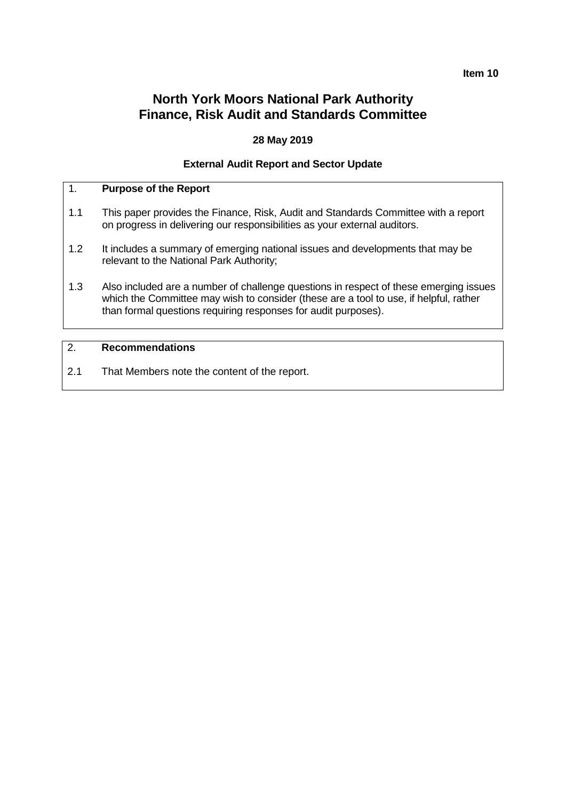# **Item 10**

# **North York Moors National Park Authority Finance, Risk Audit and Standards Committee**

# **28 May 2019**

# **External Audit Report and Sector Update**

# 1. **Purpose of the Report**

- 1.1 This paper provides the Finance, Risk, Audit and Standards Committee with a report on progress in delivering our responsibilities as your external auditors.
- 1.2 It includes a summary of emerging national issues and developments that may be relevant to the National Park Authority;
- 1.3 Also included are a number of challenge questions in respect of these emerging issues which the Committee may wish to consider (these are a tool to use, if helpful, rather than formal questions requiring responses for audit purposes).

# 2. **Recommendations**

2.1 That Members note the content of the report.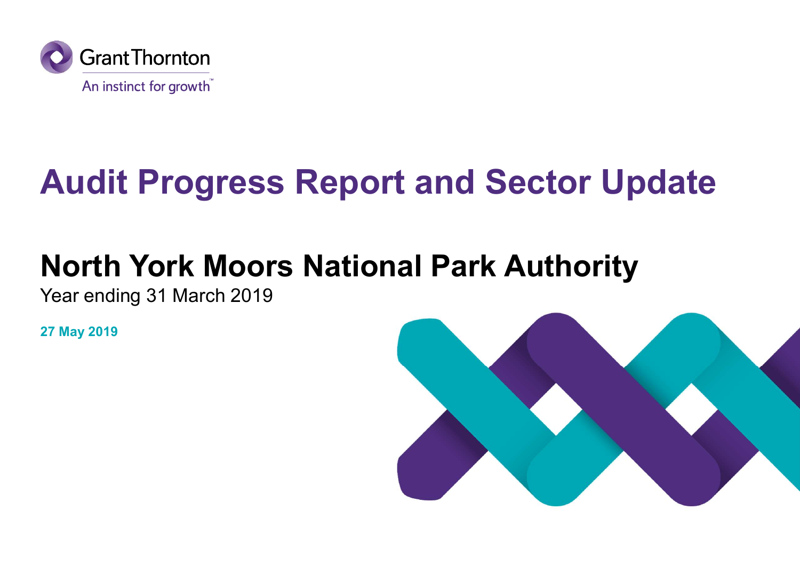

# Audit Progress Report and Sector Update

# North York Moors National Park Authority

Year ending 31 March 2019

27 May 2019

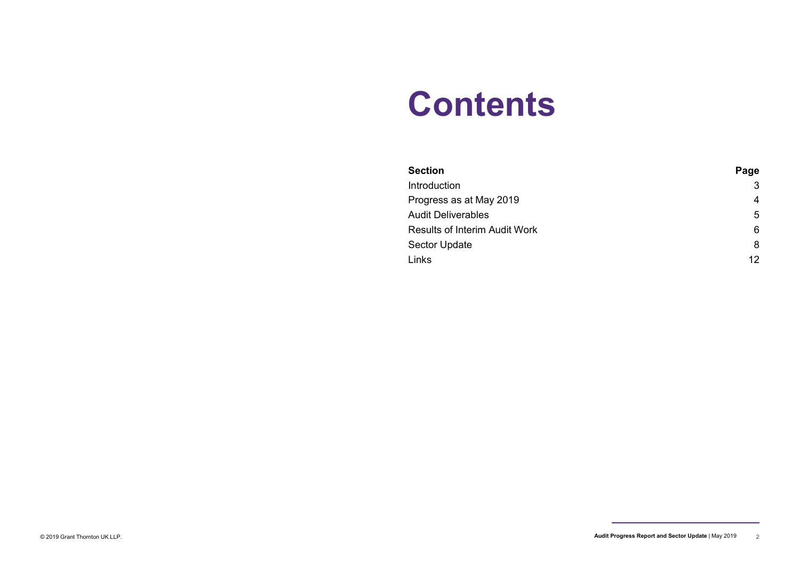# **Contents**

| <b>Contents</b>                                |                         |  |  |
|------------------------------------------------|-------------------------|--|--|
|                                                |                         |  |  |
|                                                |                         |  |  |
|                                                |                         |  |  |
| <b>Section</b>                                 | Page                    |  |  |
| Introduction                                   | 3                       |  |  |
| Progress as at May 2019                        | $\overline{\mathbf{4}}$ |  |  |
| <b>Audit Deliverables</b>                      | 5                       |  |  |
| Results of Interim Audit Work<br>Sector Update | $\,6\,$<br>8            |  |  |

<sup>© 2019</sup> Grant Thornton UK LLP. Audit Progress Report and Sector Update | May 2019 2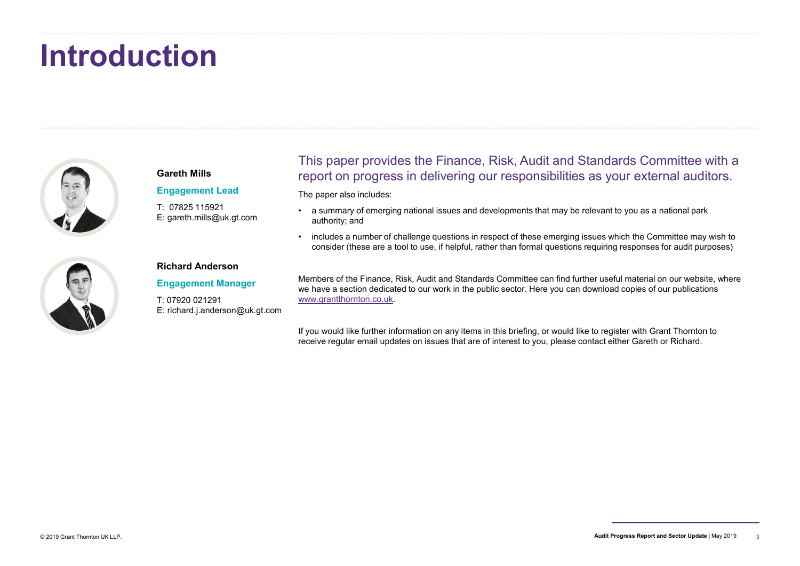# Introduction



E: gareth.mills@uk.gt.com

# This paper provides the Finance, Risk, Audit and Standards Committee with a report on progress in delivering our responsibilities as your external auditors. Gareth Mills Fhis paper provides the Finance, Risk, Audit and Standards Committee with a<br>report on progress in delivering our responsibilities as your external auditors.<br>The aparalso induces:<br>• a summary of emerging national issues an This paper provides the Finance, Risk, Audit and Standards Committee with a<br>Freport on progress in delivering our responsibilities as your external auditors.<br>The paper also includes:<br>• a summary of emerging national issue

The paper also includes: Engagement Lead

- authority; and T: 07825 115921 • a summary of emerging national issues and developments that may be relevant to you as a national park
	- consider (these are a tool to use, if helpful, rather than formal questions requiring responses for audit purposes)



### Richard Anderson

Engagement Manager

E: richard.j.anderson@uk.gt.com

Members of the Finance, Risk, Audit and Standards Committee can find further useful material on our website, where we have a section dedicated to our work in the public sector. Here you can download copies of our publications www.grantthornton.co.uk. T: 07920 021291

> If you would like further information on any items in this briefing, or would like to register with Grant Thornton to receive regular email updates on issues that are of interest to you, please contact either Gareth or Richard.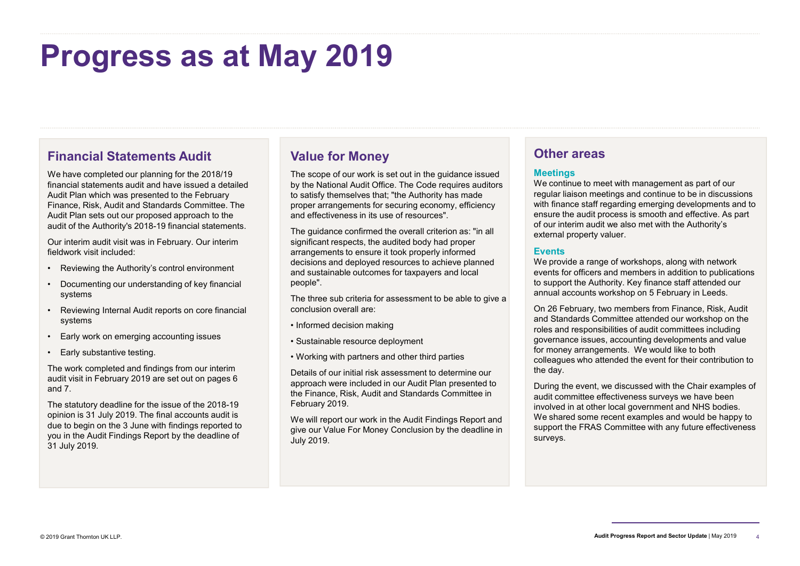# Progress as at May 2019

# Financial Statements Audit

We have completed our planning for the 2018/19 financial statements audit and have issued a detailed Audit Plan which was presented to the February Finance, Risk, Audit and Standards Committee. The Audit Plan sets out our proposed approach to the audit of the Authority's 2018-19 financial statements. **Financial Statements Audit**<br>
Financial Statements and the 2018/19<br>
We have completed our planning for the 2018/19<br>
Many and The scope of our profession and the electrical statements audit and have issued a detailed<br>
Audit **Financial Statements Audit**<br>
We have completed our planning for the 2018/19<br>
We have a completed our planning for the 2018/19<br>
Manus of the Superbourge of our words<br>
Audit Pian sets out our proposed approach to the<br>
Audit Financial Statements Audit<br>
We have completed our planning for the 2018/19<br>
Financial statements audit and have issued a detailed<br>
Audit Plan which was presented to the February<br>
Financial statements audit of the Authority Financial Statements Audit<br>
Walue for Mor<br>
We have completed our planning for the 2018/19<br>
Minancel statements audit and have issued a detailed<br>
Audit Plan sets, Audit and Standards Committee. The<br>
Audit Plan sets out ou **Financial Statements Audit**<br>
Walue for More Completed our planning for the 2018/19<br>
Minancial statements audit and have issued a detailed<br>
Audit Plan which was presented to the February<br>
Audit Plan which was presented to

Our interim audit visit was in February. Our interim fieldwork visit included:

- 
- systems
- systems
- 
- 

The work completed and findings from our interim audit visit in February 2019 are set out on pages 6 and 7.

The statutory deadline for the issue of the 2018-19 opinion is 31 July 2019. The final accounts audit is due to begin on the 3 June with findings reported to you in the Audit Findings Report by the deadline of 31 July 2019.

# Value for Money

The scope of our work is set out in the guidance issued by the National Audit Office. The Code requires auditors to satisfy themselves that; "the Authority has made proper arrangements for securing economy, efficiency and effectiveness in its use of resources".

The guidance confirmed the overall criterion as: "in all significant respects, the audited body had proper arrangements to ensure it took properly informed decisions and deployed resources to achieve planned and sustainable outcomes for taxpayers and local people".

The three sub criteria for assessment to be able to give a conclusion overall are:

- Informed decision making
- Sustainable resource deployment
- Working with partners and other third parties

Details of our initial risk assessment to determine our approach were included in our Audit Plan presented to the Finance, Risk, Audit and Standards Committee in February 2019.

We will report our work in the Audit Findings Report and give our Value For Money Conclusion by the deadline in July 2019.

# Other areas

### **Meetings**

We continue to meet with management as part of our regular liaison meetings and continue to be in discussions with finance staff regarding emerging developments and to ensure the audit process is smooth and effective. As part of our interim audit we also met with the Authority's external property valuer.

### **Events**

We provide a range of workshops, along with network events for officers and members in addition to publications to support the Authority. Key finance staff attended our annual accounts workshop on 5 February in Leeds.

On 26 February, two members from Finance, Risk, Audit and Standards Committee attended our workshop on the roles and responsibilities of audit committees including governance issues, accounting developments and value for money arrangements. We would like to both colleagues who attended the event for their contribution to the day.

During the event, we discussed with the Chair examples of audit committee effectiveness surveys we have been involved in at other local government and NHS bodies. We shared some recent examples and would be happy to support the FRAS Committee with any future effectiveness surveys.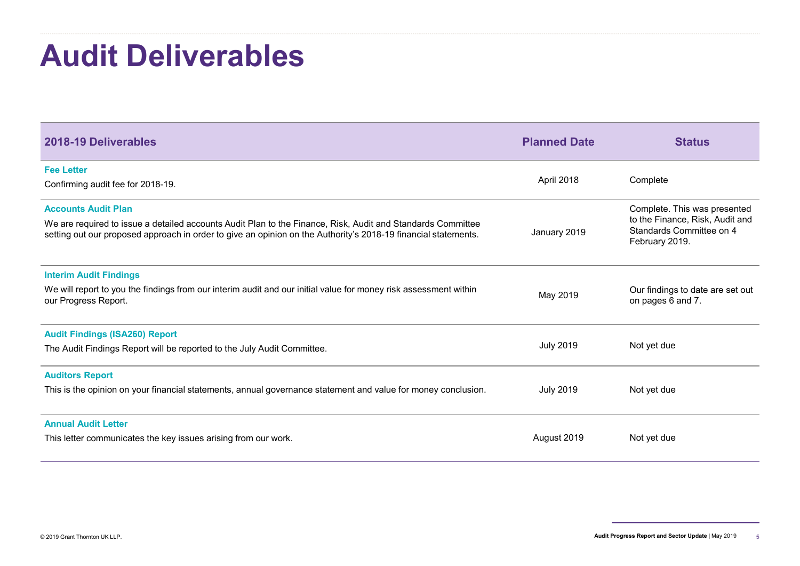# Audit Deliverables

| <b>Audit Deliverables</b>                                                                                                                                                                                                     |                     |                                                                               |
|-------------------------------------------------------------------------------------------------------------------------------------------------------------------------------------------------------------------------------|---------------------|-------------------------------------------------------------------------------|
|                                                                                                                                                                                                                               |                     |                                                                               |
|                                                                                                                                                                                                                               |                     |                                                                               |
| 2018-19 Deliverables                                                                                                                                                                                                          | <b>Planned Date</b> | <b>Status</b>                                                                 |
| <b>Fee Letter</b>                                                                                                                                                                                                             |                     |                                                                               |
| Confirming audit fee for 2018-19.                                                                                                                                                                                             | April 2018          | Complete                                                                      |
| <b>Accounts Audit Plan</b>                                                                                                                                                                                                    |                     | Complete. This was presented                                                  |
| We are required to issue a detailed accounts Audit Plan to the Finance, Risk, Audit and Standards Committee<br>setting out our proposed approach in order to give an opinion on the Authority's 2018-19 financial statements. | January 2019        | to the Finance, Risk, Audit and<br>Standards Committee on 4<br>February 2019. |
| <b>Interim Audit Findings</b>                                                                                                                                                                                                 |                     |                                                                               |
| We will report to you the findings from our interim audit and our initial value for money risk assessment within<br>our Progress Report.                                                                                      | May 2019            | Our findings to date are set out<br>on pages 6 and 7.                         |
| <b>Audit Findings (ISA260) Report</b>                                                                                                                                                                                         |                     |                                                                               |
| The Audit Findings Report will be reported to the July Audit Committee.                                                                                                                                                       | <b>July 2019</b>    | Not yet due                                                                   |
| <b>Auditors Report</b>                                                                                                                                                                                                        |                     |                                                                               |
| This is the opinion on your financial statements, annual governance statement and value for money conclusion.                                                                                                                 | <b>July 2019</b>    | Not yet due                                                                   |
| <b>Annual Audit Letter</b>                                                                                                                                                                                                    |                     |                                                                               |
|                                                                                                                                                                                                                               | August 2019         | Not yet due                                                                   |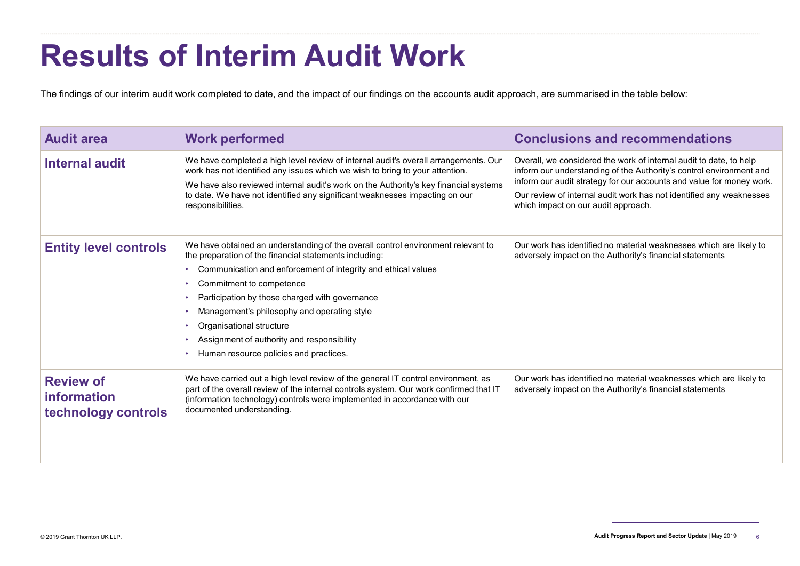# Results of Interim Audit Work

|                                                               |                                                                                                                                                                                                                                                                                                                                                                                                                                                              | <b>Results of Interim Audit Work</b><br>The findings of our interim audit work completed to date, and the impact of our findings on the accounts audit approach, are summarised in the table below:                                                                                                                             |  |  |  |  |
|---------------------------------------------------------------|--------------------------------------------------------------------------------------------------------------------------------------------------------------------------------------------------------------------------------------------------------------------------------------------------------------------------------------------------------------------------------------------------------------------------------------------------------------|---------------------------------------------------------------------------------------------------------------------------------------------------------------------------------------------------------------------------------------------------------------------------------------------------------------------------------|--|--|--|--|
| <b>Audit area</b>                                             | <b>Work performed</b>                                                                                                                                                                                                                                                                                                                                                                                                                                        | <b>Conclusions and recommendations</b>                                                                                                                                                                                                                                                                                          |  |  |  |  |
| <b>Internal audit</b>                                         | We have completed a high level review of internal audit's overall arrangements. Our<br>work has not identified any issues which we wish to bring to your attention.<br>We have also reviewed internal audit's work on the Authority's key financial systems<br>to date. We have not identified any significant weaknesses impacting on our<br>responsibilities.                                                                                              | Overall, we considered the work of internal audit to date, to help<br>inform our understanding of the Authority's control environment and<br>inform our audit strategy for our accounts and value for money work.<br>Our review of internal audit work has not identified any weaknesses<br>which impact on our audit approach. |  |  |  |  |
| <b>Entity level controls</b>                                  | We have obtained an understanding of the overall control environment relevant to<br>the preparation of the financial statements including:<br>Communication and enforcement of integrity and ethical values<br>Commitment to competence<br>Participation by those charged with governance<br>Management's philosophy and operating style<br>Organisational structure<br>Assignment of authority and responsibility<br>Human resource policies and practices. | Our work has identified no material weaknesses which are likely to<br>adversely impact on the Authority's financial statements                                                                                                                                                                                                  |  |  |  |  |
| <b>Review of</b><br><b>information</b><br>technology controls | We have carried out a high level review of the general IT control environment, as<br>part of the overall review of the internal controls system. Our work confirmed that IT<br>(information technology) controls were implemented in accordance with our<br>documented understanding.                                                                                                                                                                        | Our work has identified no material weaknesses which are likely to<br>adversely impact on the Authority's financial statements                                                                                                                                                                                                  |  |  |  |  |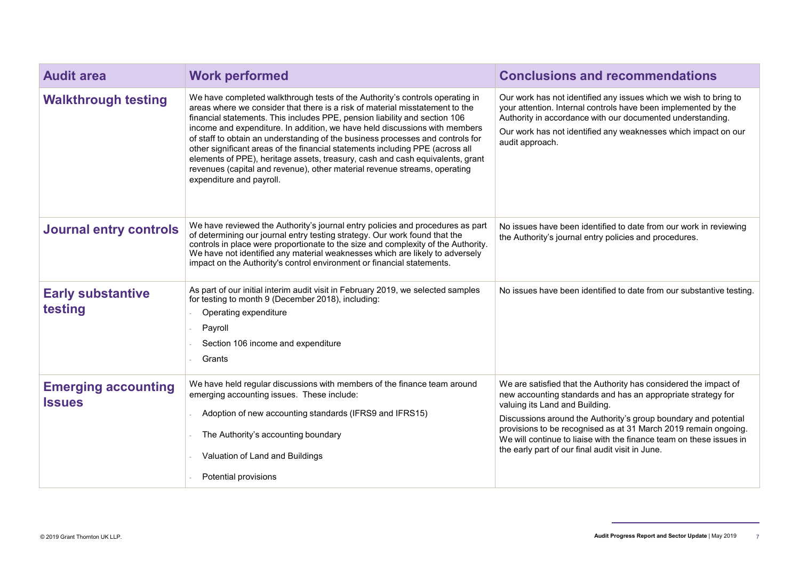| <b>Audit area</b>                           | <b>Work performed</b>                                                                                                                                                                                                                                                                                                                                                                                                                                                                                                                                                                                                                                                                 | <b>Conclusions and recommendations</b>                                                                                                                                                                                                                                                                                                                                                                                              |
|---------------------------------------------|---------------------------------------------------------------------------------------------------------------------------------------------------------------------------------------------------------------------------------------------------------------------------------------------------------------------------------------------------------------------------------------------------------------------------------------------------------------------------------------------------------------------------------------------------------------------------------------------------------------------------------------------------------------------------------------|-------------------------------------------------------------------------------------------------------------------------------------------------------------------------------------------------------------------------------------------------------------------------------------------------------------------------------------------------------------------------------------------------------------------------------------|
| <b>Walkthrough testing</b>                  | We have completed walkthrough tests of the Authority's controls operating in<br>areas where we consider that there is a risk of material misstatement to the<br>financial statements. This includes PPE, pension liability and section 106<br>income and expenditure. In addition, we have held discussions with members<br>of staff to obtain an understanding of the business processes and controls for<br>other significant areas of the financial statements including PPE (across all<br>elements of PPE), heritage assets, treasury, cash and cash equivalents, grant<br>revenues (capital and revenue), other material revenue streams, operating<br>expenditure and payroll. | Our work has not identified any issues which we wish to bring to<br>your attention. Internal controls have been implemented by the<br>Authority in accordance with our documented understanding.<br>Our work has not identified any weaknesses which impact on our<br>audit approach.                                                                                                                                               |
| <b>Journal entry controls</b>               | We have reviewed the Authority's journal entry policies and procedures as part<br>of determining our journal entry testing strategy. Our work found that the<br>controls in place were proportionate to the size and complexity of the Authority.<br>We have not identified any material weaknesses which are likely to adversely<br>impact on the Authority's control environment or financial statements.                                                                                                                                                                                                                                                                           | No issues have been identified to date from our work in reviewing<br>the Authority's journal entry policies and procedures.                                                                                                                                                                                                                                                                                                         |
| <b>Early substantive</b><br>testing         | As part of our initial interim audit visit in February 2019, we selected samples<br>for testing to month 9 (December 2018), including:<br>Operating expenditure<br>Payroll<br>Section 106 income and expenditure<br>Grants                                                                                                                                                                                                                                                                                                                                                                                                                                                            | No issues have been identified to date from our substantive testing.                                                                                                                                                                                                                                                                                                                                                                |
| <b>Emerging accounting</b><br><b>Issues</b> | We have held regular discussions with members of the finance team around<br>emerging accounting issues. These include:<br>Adoption of new accounting standards (IFRS9 and IFRS15)<br>The Authority's accounting boundary<br>Valuation of Land and Buildings<br>Potential provisions                                                                                                                                                                                                                                                                                                                                                                                                   | We are satisfied that the Authority has considered the impact of<br>new accounting standards and has an appropriate strategy for<br>valuing its Land and Building.<br>Discussions around the Authority's group boundary and potential<br>provisions to be recognised as at 31 March 2019 remain ongoing.<br>We will continue to liaise with the finance team on these issues in<br>the early part of our final audit visit in June. |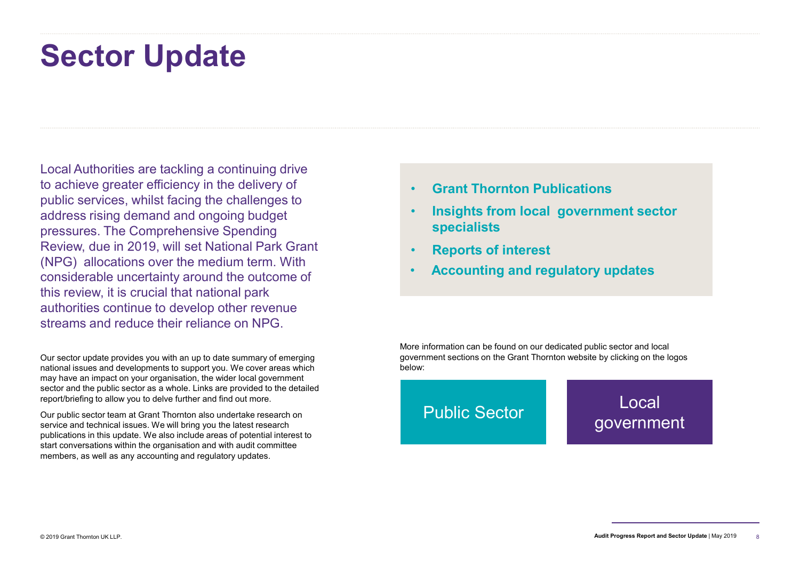# Sector Update

Local Authorities are tackling a continuing drive to achieve greater efficiency in the delivery of public services, whilst facing the challenges to **Sector Update**<br>
Local Authorities are tackling a continuing drive<br>
to achieve greater efficiency in the delivery of<br>
public services, whilst facing the challenges to<br>
address rising demand and ongoing budget<br>
pressures. T **Sector Update**<br>
Local Authorities are tackling a continuing drive<br>
to achieve greater efficiency in the delivery of<br>
public services, whilst facing the challenges to<br>
address rising demand and ongoing budget<br>
pressures. T Review, due in 2019, will set National Park Grant (NPG) allocations over the medium term. With considerable uncertainty around the outcome of this review, it is crucial that national park authorities continue to develop other revenue streams and reduce their reliance on NPG.

Our sector update provides you with an up to date summary of emerging national issues and developments to support you. We cover areas which may have an impact on your organisation, the wider local government sector and the public sector as a whole. Links are provided to the detailed report/briefing to allow you to delve further and find out more.

Our public sector team at Grant Thornton also undertake research on service and technical issues. We will bring you the latest research publications in this update. We also include areas of potential interest to start conversations within the organisation and with audit committee members, as well as any accounting and regulatory updates.

- Grant Thornton Publications
- Insights from local government sector specialists
- Reports of interest
- Accounting and regulatory updates

More information can be found on our dedicated public sector and local government sections on the Grant Thornton website by clicking on the logos below:

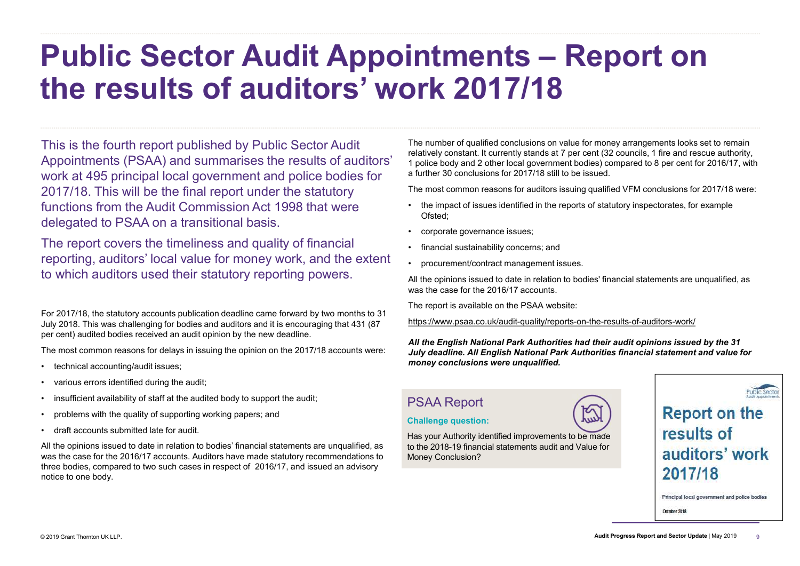# Public Sector Audit Appointments – Report on the results of auditors' work 2017/18 **First and Constrained Scheme Constrained SCHE CONSTRENT CONTROV**<br>
The number of qualified conclusions on value for money arrangements looks set to remain<br>
relatively constant. It currently stands at 7 per cent (32 counci **In the pinion of qualified conclusions on value for money arrangements looks set to reflectively constant. It currently stands at 7 per cent (32 councils, 1 fire and rescue autt poiled by and 2 other local government bodi The number of qualified conclusions on value for money arrangements looks set to remember of qualified conclusions on value for money arrangements looks set to remember of qualified conclusions of a**  $\tau$  **per or money arr** The number of qualified conclusions on value for money arrangements looks set to relatively constant. It curremly stands at 7 per cent (32 councins) for fire and rescue authorized in the contract metal (3) compared to 8 pe

This is the fourth report published by Public Sector Audit Appointments (PSAA) and summarises the results of auditors' work at 495 principal local government and police bodies for 2017/18. This will be the final report under the statutory functions from the Audit Commission Act 1998 that were **the impact of issues identified in the reports of statutory inspectorates**, for example delegated to PSAA on a transitional basis. This is the fourth report published by Public Sector Audit<br>Appointments (PSAA) and summarises the results of aud<br>work at 495 principal local government and police bodies<br>2017/18. This will be the final report under the sta This is the fourth report published by Public Sector Audit<br>Appointments (PSAA) and summarises the results of aud<br>work at 495 principal local government and police bodies<br>2017/18. This will be the final report under the sta Appointments (PSAA) and summarises the results of auditors'<br>work at 495 principal local government and police bodies for<br>2017/18. This will be the final report under the statutory<br>2017/18. This will be the final report und For 2017/18. This will be the final report under the statutory<br>
For a further 3<br>
2017/18. This will be the final report under the statutory<br>
functions from the Audit Commission Act 1998 that were<br>
delegated to PSAA on a tr 2017/18. This will be the final report under the statutory<br>functions from the Audit Commission Act 1998 that were<br>delegated to PSAA on a transitional basis.<br>The report covers the timeliness and quality of financial<br>reporti

The report covers the timeliness and quality of financial **Fig. 1** financial sustainability concerns; and reporting, auditors' local value for money work, and the extent . procurement/contract management issues. to which auditors used their statutory reporting powers.

For 2017/18, the statutory accounts publication deadline came forward by two months to 31 July 2018. This was challenging for bodies and auditors and it is encouraging that 431 (87 per cent) audited bodies received an audit opinion by the new deadline.

The most common reasons for delays in issuing the opinion on the 2017/18 accounts were:

- 
- 
- 
- 
- 

All the opinions issued to date in relation to bodies' financial statements are unqualified, as was the case for the 2016/17 accounts. Auditors have made statutory recommendations to three bodies, compared to two such cases in respect of 2016/17, and issued an advisory notice to one body.

The number of qualified conclusions on value for money arrangements looks set to remain relatively constant. It currently stands at 7 per cent (32 councils, 1 fire and rescue authority, 1 police body and 2 other local government bodies) compared to 8 per cent for 2016/17, with a further 30 conclusions for 2017/18 still to be issued.

The most common reasons for auditors issuing qualified VFM conclusions for 2017/18 were:

- Ofsted;
- 
- 
- 

All the opinions issued to date in relation to bodies' financial statements are unqualified, as was the case for the 2016/17 accounts.

The report is available on the PSAA website:

https://www.psaa.co.uk/audit-quality/reports-on-the-results-of-auditors-work/

All the English National Park Authorities had their audit opinions issued by the 31 July deadline. All English National Park Authorities financial statement and value for money conclusions were unqualified.

# PSAA Report

### Challenge question:

Has your Authority identified improvements to be made **Fesuits of** to the 2018-19 financial statements audit and Value for **all all differs** work Money Conclusion?

**Report on the** 2017/18

Principal local government and police bodies

October 2018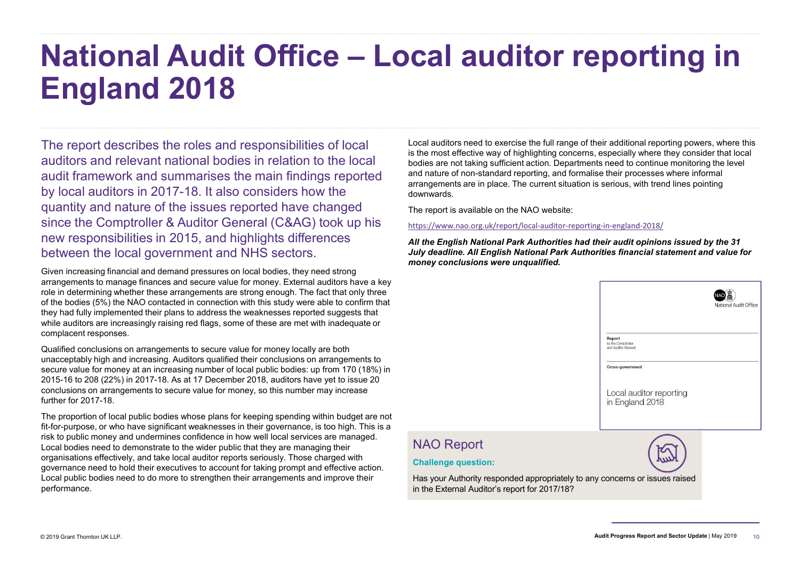# National Audit Office – Local auditor reporting in England 2018

The report describes the roles and responsibilities of local auditors and relevant national bodies in relation to the local audit framework and summarises the main findings reported by local auditors in 2017-18. It also considers how the quantity and nature of the issues reported have changed since the Comptroller & Auditor General (C&AG) took up his new responsibilities in 2015, and highlights differences between the local government and NHS sectors.

Given increasing financial and demand pressures on local bodies, they need strong arrangements to manage finances and secure value for money. External auditors have a key role in determining whether these arrangements are strong enough. The fact that only three of the bodies (5%) the NAO contacted in connection with this study were able to confirm that they had fully implemented their plans to address the weaknesses reported suggests that while auditors are increasingly raising red flags, some of these are met with inadequate or complacent responses.

Qualified conclusions on arrangements to secure value for money locally are both unacceptably high and increasing. Auditors qualified their conclusions on arrangements to secure value for money at an increasing number of local public bodies: up from 170 (18%) in 2015-16 to 208 (22%) in 2017-18. As at 17 December 2018, auditors have yet to issue 20 conclusions on arrangements to secure value for money, so this number may increase further for 2017-18.

The proportion of local public bodies whose plans for keeping spending within budget are not fit-for-purpose, or who have significant weaknesses in their governance, is too high. This is a risk to public money and undermines confidence in how well local services are managed.<br>I ocal bodies need to demonstrate to the wider public that they are managing their **NAO Report** Local bodies need to demonstrate to the wider public that they are managing their organisations effectively, and take local auditor reports seriously. Those charged with governance need to hold their executives to account for taking prompt and effective action. Local public bodies need to do more to strengthen their arrangements and improve their performance.

Local auditors need to exercise the full range of their additional reporting powers, where this is the most effective way of highlighting concerns, especially where they consider that local bodies are not taking sufficient action. Departments need to continue monitoring the level and nature of non-standard reporting, and formalise their processes where informal arrangements are in place. The current situation is serious, with trend lines pointing downwards.

The report is available on the NAO website:

https://www.nao.org.uk/report/local-auditor-reporting-in-england-2018/

All the English National Park Authorities had their audit opinions issued by the 31 July deadline. All English National Park Authorities financial statement and value for money conclusions were unqualified.

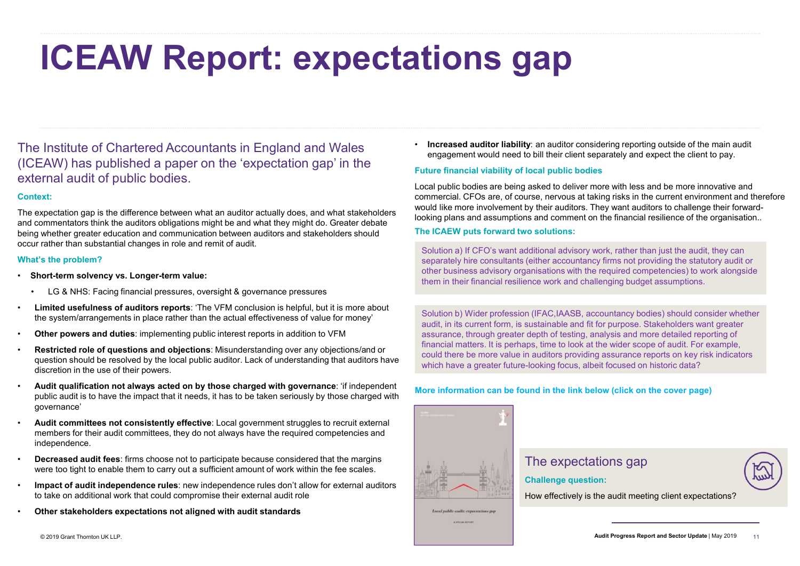# ICEAW Report: expectations and the contract of the contract in a state of Channel and the contract of the contract overside the contract of the contract of the contract of the contract of the contract of the contract of th

The Institute of Chartered Accountants in England and Wales (ICEAW) has published a paper on the 'expectation gap' in the external audit of public bodies.

### Context:

The expectation gap is the difference between what an auditor actually does, and what stakeholders and commentators think the auditors obligations might be and what they might do. Greater debate being whether greater education and communication between auditors and stakeholders should occur rather than substantial changes in role and remit of audit.

### What's the problem?

- Short-term solvency vs. Longer-term value:
	-
- the system/arrangements in place rather than the actual effectiveness of value for money'<br>Other powers and duties: implementing public interest reports in addition to VFM
- 
- Restricted role of questions and objections: Misunderstanding over any objections/and or question should be resolved by the local public auditor. Lack of understanding that auditors have discretion in the use of their powers.
- Audit qualification not always acted on by those charged with governance: 'if independent public audit is to have the impact that it needs, it has to be taken seriously by those charged with governance'
- Audit committees not consistently effective: Local government struggles to recruit external members for their audit committees, they do not always have the required competencies and independence.
- Decreased audit fees: firms choose not to participate because considered that the margins were too tight to enable them to carry out a sufficient amount of work within the fee scales.
- Impact of audit independence rules: new independence rules don't allow for external auditors to take on additional work that could compromise their external audit role
- Other stakeholders expectations not aligned with audit standards

• Increased auditor liability: an auditor considering reporting outside of the main audit engagement would need to bill their client separately and expect the client to pay.

# Future financial viability of local public bodies

Local public bodies are being asked to deliver more with less and be more innovative and commercial. CFOs are, of course, nervous at taking risks in the current environment and therefore would like more involvement by their auditors. They want auditors to challenge their forwardlooking plans and assumptions and comment on the financial resilience of the organisation..

### The ICAEW puts forward two solutions:

Solution a) If CFO's want additional advisory work, rather than just the audit, they can separately hire consultants (either accountancy firms not providing the statutory audit or other business advisory organisations with the required competencies) to work alongside them in their financial resilience work and challenging budget assumptions.

Solution b) Wider profession (IFAC,IAASB, accountancy bodies) should consider whether audit, in its current form, is sustainable and fit for purpose. Stakeholders want greater assurance, through greater depth of testing, analysis and more detailed reporting of financial matters. It is perhaps, time to look at the wider scope of audit. For example, could there be more value in auditors providing assurance reports on key risk indicators which have a greater future-looking focus, albeit focused on historic data?

### More information can be found in the link below (click on the cover page)



# The expectations gap

Challenge question:

How effectively is the audit meeting client expectations?

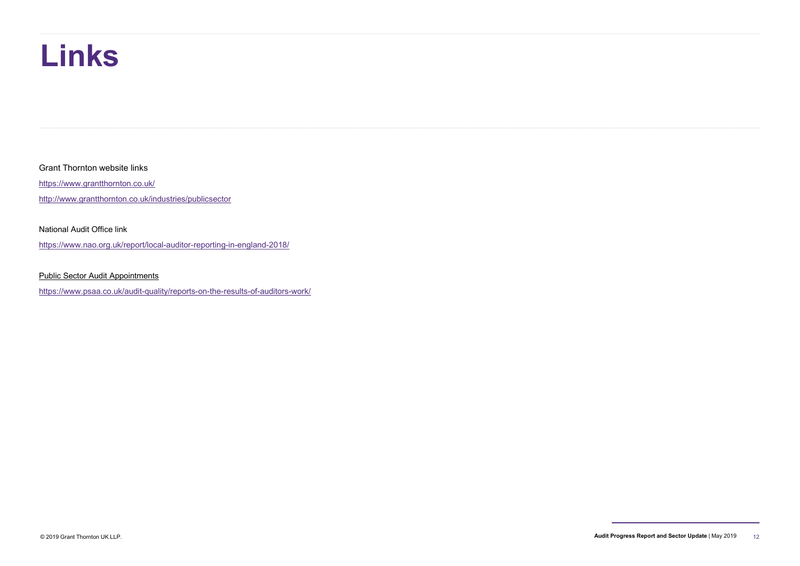# Links

Grant Thornton website links

https://www.grantthornton.co.uk/

http://www.grantthornton.co.uk/industries/publicsector

### National Audit Office link

https://www.nao.org.uk/report/local-auditor-reporting-in-england-2018/

Public Sector Audit Appointments

https://www.psaa.co.uk/audit-quality/reports-on-the-results-of-auditors-work/